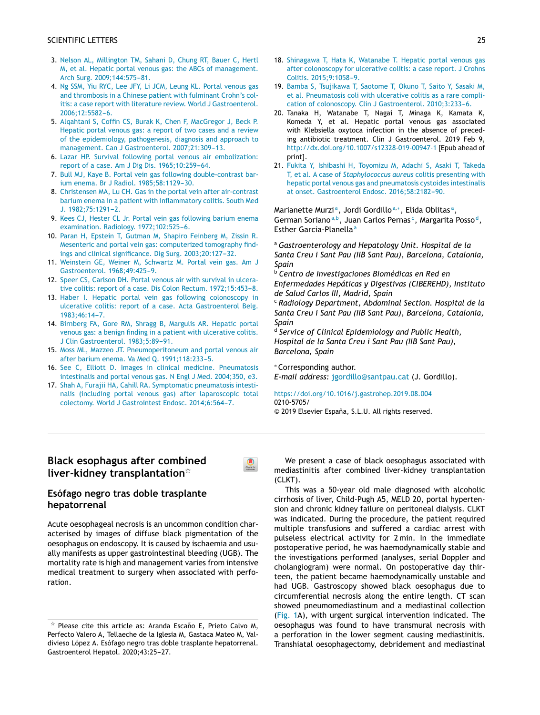- 3. [Nelson](http://refhub.elsevier.com/S2173-5743(19)30128-5/sbref0120) [AL,](http://refhub.elsevier.com/S2173-5743(19)30128-5/sbref0120) [Millington](http://refhub.elsevier.com/S2173-5743(19)30128-5/sbref0120) [TM,](http://refhub.elsevier.com/S2173-5743(19)30128-5/sbref0120) [Sahani](http://refhub.elsevier.com/S2173-5743(19)30128-5/sbref0120) [D,](http://refhub.elsevier.com/S2173-5743(19)30128-5/sbref0120) [Chung](http://refhub.elsevier.com/S2173-5743(19)30128-5/sbref0120) [RT,](http://refhub.elsevier.com/S2173-5743(19)30128-5/sbref0120) [Bauer](http://refhub.elsevier.com/S2173-5743(19)30128-5/sbref0120) [C,](http://refhub.elsevier.com/S2173-5743(19)30128-5/sbref0120) [Hertl](http://refhub.elsevier.com/S2173-5743(19)30128-5/sbref0120) [M,](http://refhub.elsevier.com/S2173-5743(19)30128-5/sbref0120) [et](http://refhub.elsevier.com/S2173-5743(19)30128-5/sbref0120) [al.](http://refhub.elsevier.com/S2173-5743(19)30128-5/sbref0120) [Hepatic](http://refhub.elsevier.com/S2173-5743(19)30128-5/sbref0120) [portal](http://refhub.elsevier.com/S2173-5743(19)30128-5/sbref0120) [venous](http://refhub.elsevier.com/S2173-5743(19)30128-5/sbref0120) [gas:](http://refhub.elsevier.com/S2173-5743(19)30128-5/sbref0120) [the](http://refhub.elsevier.com/S2173-5743(19)30128-5/sbref0120) [ABCs](http://refhub.elsevier.com/S2173-5743(19)30128-5/sbref0120) [of](http://refhub.elsevier.com/S2173-5743(19)30128-5/sbref0120) [management.](http://refhub.elsevier.com/S2173-5743(19)30128-5/sbref0120) [Arch](http://refhub.elsevier.com/S2173-5743(19)30128-5/sbref0120) [Surg.](http://refhub.elsevier.com/S2173-5743(19)30128-5/sbref0120) 2009;144:575-81.
- 4. [Ng](http://refhub.elsevier.com/S2173-5743(19)30128-5/sbref0125) [SSM,](http://refhub.elsevier.com/S2173-5743(19)30128-5/sbref0125) [Yiu](http://refhub.elsevier.com/S2173-5743(19)30128-5/sbref0125) [RYC,](http://refhub.elsevier.com/S2173-5743(19)30128-5/sbref0125) [Lee](http://refhub.elsevier.com/S2173-5743(19)30128-5/sbref0125) [JFY,](http://refhub.elsevier.com/S2173-5743(19)30128-5/sbref0125) [Li](http://refhub.elsevier.com/S2173-5743(19)30128-5/sbref0125) [JCM,](http://refhub.elsevier.com/S2173-5743(19)30128-5/sbref0125) [Leung](http://refhub.elsevier.com/S2173-5743(19)30128-5/sbref0125) [KL.](http://refhub.elsevier.com/S2173-5743(19)30128-5/sbref0125) [Portal](http://refhub.elsevier.com/S2173-5743(19)30128-5/sbref0125) [venous](http://refhub.elsevier.com/S2173-5743(19)30128-5/sbref0125) [gas](http://refhub.elsevier.com/S2173-5743(19)30128-5/sbref0125) [and](http://refhub.elsevier.com/S2173-5743(19)30128-5/sbref0125) [thrombosis](http://refhub.elsevier.com/S2173-5743(19)30128-5/sbref0125) [in](http://refhub.elsevier.com/S2173-5743(19)30128-5/sbref0125) [a](http://refhub.elsevier.com/S2173-5743(19)30128-5/sbref0125) [Chinese](http://refhub.elsevier.com/S2173-5743(19)30128-5/sbref0125) [patient](http://refhub.elsevier.com/S2173-5743(19)30128-5/sbref0125) [with](http://refhub.elsevier.com/S2173-5743(19)30128-5/sbref0125) [fulminant](http://refhub.elsevier.com/S2173-5743(19)30128-5/sbref0125) [Crohn's](http://refhub.elsevier.com/S2173-5743(19)30128-5/sbref0125) [col](http://refhub.elsevier.com/S2173-5743(19)30128-5/sbref0125)[itis:](http://refhub.elsevier.com/S2173-5743(19)30128-5/sbref0125) [a](http://refhub.elsevier.com/S2173-5743(19)30128-5/sbref0125) [case](http://refhub.elsevier.com/S2173-5743(19)30128-5/sbref0125) [report](http://refhub.elsevier.com/S2173-5743(19)30128-5/sbref0125) [with](http://refhub.elsevier.com/S2173-5743(19)30128-5/sbref0125) [literature](http://refhub.elsevier.com/S2173-5743(19)30128-5/sbref0125) [review.](http://refhub.elsevier.com/S2173-5743(19)30128-5/sbref0125) [World](http://refhub.elsevier.com/S2173-5743(19)30128-5/sbref0125) [J](http://refhub.elsevier.com/S2173-5743(19)30128-5/sbref0125) [Gastroenterol.](http://refhub.elsevier.com/S2173-5743(19)30128-5/sbref0125) 2006;12:5582-6.
- 5. [Alqahtani](http://refhub.elsevier.com/S2173-5743(19)30128-5/sbref0130) [S,](http://refhub.elsevier.com/S2173-5743(19)30128-5/sbref0130) [Coffin](http://refhub.elsevier.com/S2173-5743(19)30128-5/sbref0130) [CS,](http://refhub.elsevier.com/S2173-5743(19)30128-5/sbref0130) [Burak](http://refhub.elsevier.com/S2173-5743(19)30128-5/sbref0130) [K,](http://refhub.elsevier.com/S2173-5743(19)30128-5/sbref0130) [Chen](http://refhub.elsevier.com/S2173-5743(19)30128-5/sbref0130) [F,](http://refhub.elsevier.com/S2173-5743(19)30128-5/sbref0130) [MacGregor](http://refhub.elsevier.com/S2173-5743(19)30128-5/sbref0130) [J,](http://refhub.elsevier.com/S2173-5743(19)30128-5/sbref0130) [Beck](http://refhub.elsevier.com/S2173-5743(19)30128-5/sbref0130) [P.](http://refhub.elsevier.com/S2173-5743(19)30128-5/sbref0130) [Hepatic](http://refhub.elsevier.com/S2173-5743(19)30128-5/sbref0130) [portal](http://refhub.elsevier.com/S2173-5743(19)30128-5/sbref0130) [venous](http://refhub.elsevier.com/S2173-5743(19)30128-5/sbref0130) [gas:](http://refhub.elsevier.com/S2173-5743(19)30128-5/sbref0130) [a](http://refhub.elsevier.com/S2173-5743(19)30128-5/sbref0130) [report](http://refhub.elsevier.com/S2173-5743(19)30128-5/sbref0130) [of](http://refhub.elsevier.com/S2173-5743(19)30128-5/sbref0130) [two](http://refhub.elsevier.com/S2173-5743(19)30128-5/sbref0130) [cases](http://refhub.elsevier.com/S2173-5743(19)30128-5/sbref0130) [and](http://refhub.elsevier.com/S2173-5743(19)30128-5/sbref0130) [a](http://refhub.elsevier.com/S2173-5743(19)30128-5/sbref0130) [review](http://refhub.elsevier.com/S2173-5743(19)30128-5/sbref0130) [of](http://refhub.elsevier.com/S2173-5743(19)30128-5/sbref0130) [the](http://refhub.elsevier.com/S2173-5743(19)30128-5/sbref0130) [epidemiology,](http://refhub.elsevier.com/S2173-5743(19)30128-5/sbref0130) [pathogenesis,](http://refhub.elsevier.com/S2173-5743(19)30128-5/sbref0130) [diagnosis](http://refhub.elsevier.com/S2173-5743(19)30128-5/sbref0130) [and](http://refhub.elsevier.com/S2173-5743(19)30128-5/sbref0130) [approach](http://refhub.elsevier.com/S2173-5743(19)30128-5/sbref0130) [to](http://refhub.elsevier.com/S2173-5743(19)30128-5/sbref0130) [management.](http://refhub.elsevier.com/S2173-5743(19)30128-5/sbref0130) [Can](http://refhub.elsevier.com/S2173-5743(19)30128-5/sbref0130) [J](http://refhub.elsevier.com/S2173-5743(19)30128-5/sbref0130) [Gastroenterol.](http://refhub.elsevier.com/S2173-5743(19)30128-5/sbref0130) 2007:21:309-13.
- 6. [Lazar](http://refhub.elsevier.com/S2173-5743(19)30128-5/sbref0135) [HP.](http://refhub.elsevier.com/S2173-5743(19)30128-5/sbref0135) [Survival](http://refhub.elsevier.com/S2173-5743(19)30128-5/sbref0135) [following](http://refhub.elsevier.com/S2173-5743(19)30128-5/sbref0135) [portal](http://refhub.elsevier.com/S2173-5743(19)30128-5/sbref0135) [venous](http://refhub.elsevier.com/S2173-5743(19)30128-5/sbref0135) [air](http://refhub.elsevier.com/S2173-5743(19)30128-5/sbref0135) [embolization:](http://refhub.elsevier.com/S2173-5743(19)30128-5/sbref0135) [report](http://refhub.elsevier.com/S2173-5743(19)30128-5/sbref0135) [of](http://refhub.elsevier.com/S2173-5743(19)30128-5/sbref0135) [a](http://refhub.elsevier.com/S2173-5743(19)30128-5/sbref0135) [case.](http://refhub.elsevier.com/S2173-5743(19)30128-5/sbref0135) [Am](http://refhub.elsevier.com/S2173-5743(19)30128-5/sbref0135) [J](http://refhub.elsevier.com/S2173-5743(19)30128-5/sbref0135) [Dig](http://refhub.elsevier.com/S2173-5743(19)30128-5/sbref0135) [Dis.](http://refhub.elsevier.com/S2173-5743(19)30128-5/sbref0135) [1965;10:259](http://refhub.elsevier.com/S2173-5743(19)30128-5/sbref0135)-[64.](http://refhub.elsevier.com/S2173-5743(19)30128-5/sbref0135)
- 7. [Bull](http://refhub.elsevier.com/S2173-5743(19)30128-5/sbref0140) [MJ,](http://refhub.elsevier.com/S2173-5743(19)30128-5/sbref0140) [Kaye](http://refhub.elsevier.com/S2173-5743(19)30128-5/sbref0140) [B.](http://refhub.elsevier.com/S2173-5743(19)30128-5/sbref0140) [Portal](http://refhub.elsevier.com/S2173-5743(19)30128-5/sbref0140) [vein](http://refhub.elsevier.com/S2173-5743(19)30128-5/sbref0140) [gas](http://refhub.elsevier.com/S2173-5743(19)30128-5/sbref0140) [following](http://refhub.elsevier.com/S2173-5743(19)30128-5/sbref0140) [double-contrast](http://refhub.elsevier.com/S2173-5743(19)30128-5/sbref0140) [ba](http://refhub.elsevier.com/S2173-5743(19)30128-5/sbref0140)[r](http://crossmark.crossref.org/dialog/?doi=10.1016/j.gastre.2019.07.008&domain=pdf)[ium](http://refhub.elsevier.com/S2173-5743(19)30128-5/sbref0140) [enema.](http://refhub.elsevier.com/S2173-5743(19)30128-5/sbref0140) [Br](http://refhub.elsevier.com/S2173-5743(19)30128-5/sbref0140) [J](http://refhub.elsevier.com/S2173-5743(19)30128-5/sbref0140) [Radiol.](http://refhub.elsevier.com/S2173-5743(19)30128-5/sbref0140) [1985;58:1129-](http://refhub.elsevier.com/S2173-5743(19)30128-5/sbref0140)[30.](http://refhub.elsevier.com/S2173-5743(19)30128-5/sbref0140)
- 8. [Christensen](http://refhub.elsevier.com/S2173-5743(19)30128-5/sbref0145) [MA,](http://refhub.elsevier.com/S2173-5743(19)30128-5/sbref0145) [Lu](http://refhub.elsevier.com/S2173-5743(19)30128-5/sbref0145) [CH.](http://refhub.elsevier.com/S2173-5743(19)30128-5/sbref0145) [Gas](http://refhub.elsevier.com/S2173-5743(19)30128-5/sbref0145) [in](http://refhub.elsevier.com/S2173-5743(19)30128-5/sbref0145) [the](http://refhub.elsevier.com/S2173-5743(19)30128-5/sbref0145) [portal](http://refhub.elsevier.com/S2173-5743(19)30128-5/sbref0145) [vein](http://refhub.elsevier.com/S2173-5743(19)30128-5/sbref0145) [after](http://refhub.elsevier.com/S2173-5743(19)30128-5/sbref0145) [air-contrast](http://refhub.elsevier.com/S2173-5743(19)30128-5/sbref0145) [barium](http://refhub.elsevier.com/S2173-5743(19)30128-5/sbref0145) [enema](http://refhub.elsevier.com/S2173-5743(19)30128-5/sbref0145) [in](http://refhub.elsevier.com/S2173-5743(19)30128-5/sbref0145) [a](http://refhub.elsevier.com/S2173-5743(19)30128-5/sbref0145) [patient](http://refhub.elsevier.com/S2173-5743(19)30128-5/sbref0145) [with](http://refhub.elsevier.com/S2173-5743(19)30128-5/sbref0145) [inflammatory](http://refhub.elsevier.com/S2173-5743(19)30128-5/sbref0145) [colitis.](http://refhub.elsevier.com/S2173-5743(19)30128-5/sbref0145) [South](http://refhub.elsevier.com/S2173-5743(19)30128-5/sbref0145) [Med](http://refhub.elsevier.com/S2173-5743(19)30128-5/sbref0145)  $J. 1982:75:1291-2.$  $J. 1982:75:1291-2.$  $J. 1982:75:1291-2.$
- 9. [Kees](http://refhub.elsevier.com/S2173-5743(19)30128-5/sbref0150) [CJ,](http://refhub.elsevier.com/S2173-5743(19)30128-5/sbref0150) [Hester](http://refhub.elsevier.com/S2173-5743(19)30128-5/sbref0150) [CL](http://refhub.elsevier.com/S2173-5743(19)30128-5/sbref0150) [Jr.](http://refhub.elsevier.com/S2173-5743(19)30128-5/sbref0150) [Portal](http://refhub.elsevier.com/S2173-5743(19)30128-5/sbref0150) [vein](http://refhub.elsevier.com/S2173-5743(19)30128-5/sbref0150) [gas](http://refhub.elsevier.com/S2173-5743(19)30128-5/sbref0150) [following](http://refhub.elsevier.com/S2173-5743(19)30128-5/sbref0150) [barium](http://refhub.elsevier.com/S2173-5743(19)30128-5/sbref0150) [enema](http://refhub.elsevier.com/S2173-5743(19)30128-5/sbref0150) [examination.](http://refhub.elsevier.com/S2173-5743(19)30128-5/sbref0150) [Radiology.](http://refhub.elsevier.com/S2173-5743(19)30128-5/sbref0150) 1972;102:525-6.
- 10. [Paran](http://refhub.elsevier.com/S2173-5743(19)30128-5/sbref0155) [H,](http://refhub.elsevier.com/S2173-5743(19)30128-5/sbref0155) [Epstein](http://refhub.elsevier.com/S2173-5743(19)30128-5/sbref0155) [T,](http://refhub.elsevier.com/S2173-5743(19)30128-5/sbref0155) [Gutman](http://refhub.elsevier.com/S2173-5743(19)30128-5/sbref0155) [M,](http://refhub.elsevier.com/S2173-5743(19)30128-5/sbref0155) [Shapiro](http://refhub.elsevier.com/S2173-5743(19)30128-5/sbref0155) [Feinberg](http://refhub.elsevier.com/S2173-5743(19)30128-5/sbref0155) [M,](http://refhub.elsevier.com/S2173-5743(19)30128-5/sbref0155) [Zissin](http://refhub.elsevier.com/S2173-5743(19)30128-5/sbref0155) [R.](http://refhub.elsevier.com/S2173-5743(19)30128-5/sbref0155) [Mesenteric](http://refhub.elsevier.com/S2173-5743(19)30128-5/sbref0155) [and](http://refhub.elsevier.com/S2173-5743(19)30128-5/sbref0155) [portal](http://refhub.elsevier.com/S2173-5743(19)30128-5/sbref0155) [vein](http://refhub.elsevier.com/S2173-5743(19)30128-5/sbref0155) [gas:](http://refhub.elsevier.com/S2173-5743(19)30128-5/sbref0155) [computerized](http://refhub.elsevier.com/S2173-5743(19)30128-5/sbref0155) [tomography](http://refhub.elsevier.com/S2173-5743(19)30128-5/sbref0155) [find](http://refhub.elsevier.com/S2173-5743(19)30128-5/sbref0155)[ings](http://refhub.elsevier.com/S2173-5743(19)30128-5/sbref0155) [and](http://refhub.elsevier.com/S2173-5743(19)30128-5/sbref0155) [clinical](http://refhub.elsevier.com/S2173-5743(19)30128-5/sbref0155) [significance.](http://refhub.elsevier.com/S2173-5743(19)30128-5/sbref0155) [Dig](http://refhub.elsevier.com/S2173-5743(19)30128-5/sbref0155) [Surg.](http://refhub.elsevier.com/S2173-5743(19)30128-5/sbref0155) 2003;20:127-32.
- 11. [Weinstein](http://refhub.elsevier.com/S2173-5743(19)30128-5/sbref0160) [GE,](http://refhub.elsevier.com/S2173-5743(19)30128-5/sbref0160) [Weiner](http://refhub.elsevier.com/S2173-5743(19)30128-5/sbref0160) [M,](http://refhub.elsevier.com/S2173-5743(19)30128-5/sbref0160) [Schwartz](http://refhub.elsevier.com/S2173-5743(19)30128-5/sbref0160) [M.](http://refhub.elsevier.com/S2173-5743(19)30128-5/sbref0160) [Portal](http://refhub.elsevier.com/S2173-5743(19)30128-5/sbref0160) [vein](http://refhub.elsevier.com/S2173-5743(19)30128-5/sbref0160) [gas.](http://refhub.elsevier.com/S2173-5743(19)30128-5/sbref0160) [Am](http://refhub.elsevier.com/S2173-5743(19)30128-5/sbref0160) [J](http://refhub.elsevier.com/S2173-5743(19)30128-5/sbref0160) [Gastroenterol.](http://refhub.elsevier.com/S2173-5743(19)30128-5/sbref0160) 1968;49:425-9.
- 12. [Speer](http://refhub.elsevier.com/S2173-5743(19)30128-5/sbref0165) [CS,](http://refhub.elsevier.com/S2173-5743(19)30128-5/sbref0165) [Carlson](http://refhub.elsevier.com/S2173-5743(19)30128-5/sbref0165) [DH.](http://refhub.elsevier.com/S2173-5743(19)30128-5/sbref0165) [Portal](http://refhub.elsevier.com/S2173-5743(19)30128-5/sbref0165) [venous](http://refhub.elsevier.com/S2173-5743(19)30128-5/sbref0165) [air](http://refhub.elsevier.com/S2173-5743(19)30128-5/sbref0165) [with](http://refhub.elsevier.com/S2173-5743(19)30128-5/sbref0165) [survival](http://refhub.elsevier.com/S2173-5743(19)30128-5/sbref0165) [in](http://refhub.elsevier.com/S2173-5743(19)30128-5/sbref0165) [ulcera](http://refhub.elsevier.com/S2173-5743(19)30128-5/sbref0165)[tive](http://refhub.elsevier.com/S2173-5743(19)30128-5/sbref0165) [colitis:](http://refhub.elsevier.com/S2173-5743(19)30128-5/sbref0165) [report](http://refhub.elsevier.com/S2173-5743(19)30128-5/sbref0165) [of](http://refhub.elsevier.com/S2173-5743(19)30128-5/sbref0165) [a](http://refhub.elsevier.com/S2173-5743(19)30128-5/sbref0165) [case.](http://refhub.elsevier.com/S2173-5743(19)30128-5/sbref0165) [Dis](http://refhub.elsevier.com/S2173-5743(19)30128-5/sbref0165) [Colon](http://refhub.elsevier.com/S2173-5743(19)30128-5/sbref0165) [Rectum.](http://refhub.elsevier.com/S2173-5743(19)30128-5/sbref0165) 1972;15:453-8.
- 13. [Haber](http://refhub.elsevier.com/S2173-5743(19)30128-5/sbref0170) [I.](http://refhub.elsevier.com/S2173-5743(19)30128-5/sbref0170) [Hepatic](http://refhub.elsevier.com/S2173-5743(19)30128-5/sbref0170) [portal](http://refhub.elsevier.com/S2173-5743(19)30128-5/sbref0170) [vein](http://refhub.elsevier.com/S2173-5743(19)30128-5/sbref0170) [gas](http://refhub.elsevier.com/S2173-5743(19)30128-5/sbref0170) [following](http://refhub.elsevier.com/S2173-5743(19)30128-5/sbref0170) [colonoscopy](http://refhub.elsevier.com/S2173-5743(19)30128-5/sbref0170) [in](http://refhub.elsevier.com/S2173-5743(19)30128-5/sbref0170) [ulcerative](http://refhub.elsevier.com/S2173-5743(19)30128-5/sbref0170) [colitis:](http://refhub.elsevier.com/S2173-5743(19)30128-5/sbref0170) [report](http://refhub.elsevier.com/S2173-5743(19)30128-5/sbref0170) [of](http://refhub.elsevier.com/S2173-5743(19)30128-5/sbref0170) [a](http://refhub.elsevier.com/S2173-5743(19)30128-5/sbref0170) [case.](http://refhub.elsevier.com/S2173-5743(19)30128-5/sbref0170) [Acta](http://refhub.elsevier.com/S2173-5743(19)30128-5/sbref0170) [Gastroenterol](http://refhub.elsevier.com/S2173-5743(19)30128-5/sbref0170) [Belg.](http://refhub.elsevier.com/S2173-5743(19)30128-5/sbref0170) 1983;46:14-7.
- 14. [Birnberg](http://refhub.elsevier.com/S2173-5743(19)30128-5/sbref0175) [FA,](http://refhub.elsevier.com/S2173-5743(19)30128-5/sbref0175) [Gore](http://refhub.elsevier.com/S2173-5743(19)30128-5/sbref0175) [RM,](http://refhub.elsevier.com/S2173-5743(19)30128-5/sbref0175) [Shragg](http://refhub.elsevier.com/S2173-5743(19)30128-5/sbref0175) [B,](http://refhub.elsevier.com/S2173-5743(19)30128-5/sbref0175) [Margulis](http://refhub.elsevier.com/S2173-5743(19)30128-5/sbref0175) [AR.](http://refhub.elsevier.com/S2173-5743(19)30128-5/sbref0175) [Hepatic](http://refhub.elsevier.com/S2173-5743(19)30128-5/sbref0175) [portal](http://refhub.elsevier.com/S2173-5743(19)30128-5/sbref0175) [venous](http://refhub.elsevier.com/S2173-5743(19)30128-5/sbref0175) [gas:](http://refhub.elsevier.com/S2173-5743(19)30128-5/sbref0175) [a](http://refhub.elsevier.com/S2173-5743(19)30128-5/sbref0175) [benign](http://refhub.elsevier.com/S2173-5743(19)30128-5/sbref0175) [finding](http://refhub.elsevier.com/S2173-5743(19)30128-5/sbref0175) [in](http://refhub.elsevier.com/S2173-5743(19)30128-5/sbref0175) [a](http://refhub.elsevier.com/S2173-5743(19)30128-5/sbref0175) [patient](http://refhub.elsevier.com/S2173-5743(19)30128-5/sbref0175) [with](http://refhub.elsevier.com/S2173-5743(19)30128-5/sbref0175) [ulcerative](http://refhub.elsevier.com/S2173-5743(19)30128-5/sbref0175) [colitis.](http://refhub.elsevier.com/S2173-5743(19)30128-5/sbref0175) [J](http://refhub.elsevier.com/S2173-5743(19)30128-5/sbref0175) [Clin](http://refhub.elsevier.com/S2173-5743(19)30128-5/sbref0175) [Gastroenterol.](http://refhub.elsevier.com/S2173-5743(19)30128-5/sbref0175) 1983;5:89-91.
- 15. [Moss](http://refhub.elsevier.com/S2173-5743(19)30128-5/sbref0180) [ML,](http://refhub.elsevier.com/S2173-5743(19)30128-5/sbref0180) [Mazzeo](http://refhub.elsevier.com/S2173-5743(19)30128-5/sbref0180) [JT.](http://refhub.elsevier.com/S2173-5743(19)30128-5/sbref0180) [Pneumoperitoneum](http://refhub.elsevier.com/S2173-5743(19)30128-5/sbref0180) [and](http://refhub.elsevier.com/S2173-5743(19)30128-5/sbref0180) [portal](http://refhub.elsevier.com/S2173-5743(19)30128-5/sbref0180) [venous](http://refhub.elsevier.com/S2173-5743(19)30128-5/sbref0180) [air](http://refhub.elsevier.com/S2173-5743(19)30128-5/sbref0180) [after](http://refhub.elsevier.com/S2173-5743(19)30128-5/sbref0180) [barium](http://refhub.elsevier.com/S2173-5743(19)30128-5/sbref0180) [enema.](http://refhub.elsevier.com/S2173-5743(19)30128-5/sbref0180) [Va](http://refhub.elsevier.com/S2173-5743(19)30128-5/sbref0180) [Med](http://refhub.elsevier.com/S2173-5743(19)30128-5/sbref0180) [Q.](http://refhub.elsevier.com/S2173-5743(19)30128-5/sbref0180) 1991;118:233-5.
- 16. [See](http://refhub.elsevier.com/S2173-5743(19)30128-5/sbref0185) [C,](http://refhub.elsevier.com/S2173-5743(19)30128-5/sbref0185) [Elliott](http://refhub.elsevier.com/S2173-5743(19)30128-5/sbref0185) [D.](http://refhub.elsevier.com/S2173-5743(19)30128-5/sbref0185) [Images](http://refhub.elsevier.com/S2173-5743(19)30128-5/sbref0185) [in](http://refhub.elsevier.com/S2173-5743(19)30128-5/sbref0185) [clinical](http://refhub.elsevier.com/S2173-5743(19)30128-5/sbref0185) [medicine.](http://refhub.elsevier.com/S2173-5743(19)30128-5/sbref0185) [Pneumatosis](http://refhub.elsevier.com/S2173-5743(19)30128-5/sbref0185) [intestinalis](http://refhub.elsevier.com/S2173-5743(19)30128-5/sbref0185) [and](http://refhub.elsevier.com/S2173-5743(19)30128-5/sbref0185) [portal](http://refhub.elsevier.com/S2173-5743(19)30128-5/sbref0185) [venous](http://refhub.elsevier.com/S2173-5743(19)30128-5/sbref0185) [gas.](http://refhub.elsevier.com/S2173-5743(19)30128-5/sbref0185) [N](http://refhub.elsevier.com/S2173-5743(19)30128-5/sbref0185) [Engl](http://refhub.elsevier.com/S2173-5743(19)30128-5/sbref0185) [J](http://refhub.elsevier.com/S2173-5743(19)30128-5/sbref0185) [Med.](http://refhub.elsevier.com/S2173-5743(19)30128-5/sbref0185) [2004;350,](http://refhub.elsevier.com/S2173-5743(19)30128-5/sbref0185) [e3.](http://refhub.elsevier.com/S2173-5743(19)30128-5/sbref0185)
- 17. [Shah](http://refhub.elsevier.com/S2173-5743(19)30128-5/sbref0190) [A,](http://refhub.elsevier.com/S2173-5743(19)30128-5/sbref0190) [Furajii](http://refhub.elsevier.com/S2173-5743(19)30128-5/sbref0190) [HA,](http://refhub.elsevier.com/S2173-5743(19)30128-5/sbref0190) [Cahill](http://refhub.elsevier.com/S2173-5743(19)30128-5/sbref0190) [RA.](http://refhub.elsevier.com/S2173-5743(19)30128-5/sbref0190) [Symptomatic](http://refhub.elsevier.com/S2173-5743(19)30128-5/sbref0190) [pneumatosis](http://refhub.elsevier.com/S2173-5743(19)30128-5/sbref0190) [intesti](http://refhub.elsevier.com/S2173-5743(19)30128-5/sbref0190)[nalis](http://refhub.elsevier.com/S2173-5743(19)30128-5/sbref0190) [\(including](http://refhub.elsevier.com/S2173-5743(19)30128-5/sbref0190) [portal](http://refhub.elsevier.com/S2173-5743(19)30128-5/sbref0190) [venous](http://refhub.elsevier.com/S2173-5743(19)30128-5/sbref0190) [gas\)](http://refhub.elsevier.com/S2173-5743(19)30128-5/sbref0190) [after](http://refhub.elsevier.com/S2173-5743(19)30128-5/sbref0190) [laparoscopic](http://refhub.elsevier.com/S2173-5743(19)30128-5/sbref0190) [total](http://refhub.elsevier.com/S2173-5743(19)30128-5/sbref0190) [colectomy.](http://refhub.elsevier.com/S2173-5743(19)30128-5/sbref0190) [World](http://refhub.elsevier.com/S2173-5743(19)30128-5/sbref0190) [J](http://refhub.elsevier.com/S2173-5743(19)30128-5/sbref0190) [Gastrointest](http://refhub.elsevier.com/S2173-5743(19)30128-5/sbref0190) [Endosc.](http://refhub.elsevier.com/S2173-5743(19)30128-5/sbref0190) [2014;6:564](http://refhub.elsevier.com/S2173-5743(19)30128-5/sbref0190)-[7.](http://refhub.elsevier.com/S2173-5743(19)30128-5/sbref0190)
- 18. [Shinagawa](http://refhub.elsevier.com/S2173-5743(19)30128-5/sbref0195) [T,](http://refhub.elsevier.com/S2173-5743(19)30128-5/sbref0195) [Hata](http://refhub.elsevier.com/S2173-5743(19)30128-5/sbref0195) [K,](http://refhub.elsevier.com/S2173-5743(19)30128-5/sbref0195) [Watanabe](http://refhub.elsevier.com/S2173-5743(19)30128-5/sbref0195) [T.](http://refhub.elsevier.com/S2173-5743(19)30128-5/sbref0195) [Hepatic](http://refhub.elsevier.com/S2173-5743(19)30128-5/sbref0195) [portal](http://refhub.elsevier.com/S2173-5743(19)30128-5/sbref0195) [venous](http://refhub.elsevier.com/S2173-5743(19)30128-5/sbref0195) [gas](http://refhub.elsevier.com/S2173-5743(19)30128-5/sbref0195) [after](http://refhub.elsevier.com/S2173-5743(19)30128-5/sbref0195) [colonoscopy](http://refhub.elsevier.com/S2173-5743(19)30128-5/sbref0195) [for](http://refhub.elsevier.com/S2173-5743(19)30128-5/sbref0195) [ulcerative](http://refhub.elsevier.com/S2173-5743(19)30128-5/sbref0195) [colitis:](http://refhub.elsevier.com/S2173-5743(19)30128-5/sbref0195) [a](http://refhub.elsevier.com/S2173-5743(19)30128-5/sbref0195) [case](http://refhub.elsevier.com/S2173-5743(19)30128-5/sbref0195) [report.](http://refhub.elsevier.com/S2173-5743(19)30128-5/sbref0195) [J](http://refhub.elsevier.com/S2173-5743(19)30128-5/sbref0195) [Crohns](http://refhub.elsevier.com/S2173-5743(19)30128-5/sbref0195) [Colitis.](http://refhub.elsevier.com/S2173-5743(19)30128-5/sbref0195) 2015;9:1058-9.
- 19. [Bamba](http://refhub.elsevier.com/S2173-5743(19)30128-5/sbref0200) [S,](http://refhub.elsevier.com/S2173-5743(19)30128-5/sbref0200) [Tsujikawa](http://refhub.elsevier.com/S2173-5743(19)30128-5/sbref0200) [T,](http://refhub.elsevier.com/S2173-5743(19)30128-5/sbref0200) [Saotome](http://refhub.elsevier.com/S2173-5743(19)30128-5/sbref0200) [T,](http://refhub.elsevier.com/S2173-5743(19)30128-5/sbref0200) [Okuno](http://refhub.elsevier.com/S2173-5743(19)30128-5/sbref0200) [T,](http://refhub.elsevier.com/S2173-5743(19)30128-5/sbref0200) [Saito](http://refhub.elsevier.com/S2173-5743(19)30128-5/sbref0200) [Y,](http://refhub.elsevier.com/S2173-5743(19)30128-5/sbref0200) [Sasaki](http://refhub.elsevier.com/S2173-5743(19)30128-5/sbref0200) [M,](http://refhub.elsevier.com/S2173-5743(19)30128-5/sbref0200) [et](http://refhub.elsevier.com/S2173-5743(19)30128-5/sbref0200) [al.](http://refhub.elsevier.com/S2173-5743(19)30128-5/sbref0200) [Pneumatosis](http://refhub.elsevier.com/S2173-5743(19)30128-5/sbref0200) [coli](http://refhub.elsevier.com/S2173-5743(19)30128-5/sbref0200) [with](http://refhub.elsevier.com/S2173-5743(19)30128-5/sbref0200) [ulcerative](http://refhub.elsevier.com/S2173-5743(19)30128-5/sbref0200) [colitis](http://refhub.elsevier.com/S2173-5743(19)30128-5/sbref0200) [as](http://refhub.elsevier.com/S2173-5743(19)30128-5/sbref0200) [a](http://refhub.elsevier.com/S2173-5743(19)30128-5/sbref0200) [rare](http://refhub.elsevier.com/S2173-5743(19)30128-5/sbref0200) [compli](http://refhub.elsevier.com/S2173-5743(19)30128-5/sbref0200)[cation](http://refhub.elsevier.com/S2173-5743(19)30128-5/sbref0200) [of](http://refhub.elsevier.com/S2173-5743(19)30128-5/sbref0200) [colonoscopy.](http://refhub.elsevier.com/S2173-5743(19)30128-5/sbref0200) [Clin](http://refhub.elsevier.com/S2173-5743(19)30128-5/sbref0200) [J](http://refhub.elsevier.com/S2173-5743(19)30128-5/sbref0200) [Gastroenterol.](http://refhub.elsevier.com/S2173-5743(19)30128-5/sbref0200) 2010;3:233-6.
- 20. Tanaka H, Watanabe T, Nagai T, Minaga K, Kamata K, [Komeda](http://www.elsevier.es/gastroenterologia) Y, et al. Hepatic portal venous gas associated with Klebsiella oxytoca infection in the absence of preceding antibiotic treatment. Clin J Gastroenterol. 2019 Feb 9, [http://dx.doi.org/10.1007/s12328-019-00947-1](dx.doi.org/10.1007/s12328-019-00947-1) [Epub ahead of print].
- 21. [Fukita](http://refhub.elsevier.com/S2173-5743(19)30128-5/sbref0210) [Y,](http://refhub.elsevier.com/S2173-5743(19)30128-5/sbref0210) [Ishibashi](http://refhub.elsevier.com/S2173-5743(19)30128-5/sbref0210) [H,](http://refhub.elsevier.com/S2173-5743(19)30128-5/sbref0210) [Toyomizu](http://refhub.elsevier.com/S2173-5743(19)30128-5/sbref0210) [M,](http://refhub.elsevier.com/S2173-5743(19)30128-5/sbref0210) [Adachi](http://refhub.elsevier.com/S2173-5743(19)30128-5/sbref0210) [S,](http://refhub.elsevier.com/S2173-5743(19)30128-5/sbref0210) [Asaki](http://refhub.elsevier.com/S2173-5743(19)30128-5/sbref0210) [T,](http://refhub.elsevier.com/S2173-5743(19)30128-5/sbref0210) [Takeda](http://refhub.elsevier.com/S2173-5743(19)30128-5/sbref0210) [T,](http://refhub.elsevier.com/S2173-5743(19)30128-5/sbref0210) [et](http://refhub.elsevier.com/S2173-5743(19)30128-5/sbref0210) [al.](http://refhub.elsevier.com/S2173-5743(19)30128-5/sbref0210) [A](http://refhub.elsevier.com/S2173-5743(19)30128-5/sbref0210) [case](http://refhub.elsevier.com/S2173-5743(19)30128-5/sbref0210) [of](http://refhub.elsevier.com/S2173-5743(19)30128-5/sbref0210) *[Staphylococcus](http://refhub.elsevier.com/S2173-5743(19)30128-5/sbref0210) [aureus](http://refhub.elsevier.com/S2173-5743(19)30128-5/sbref0210)* [colitis](http://refhub.elsevier.com/S2173-5743(19)30128-5/sbref0210) [presenting](http://refhub.elsevier.com/S2173-5743(19)30128-5/sbref0210) [with](http://refhub.elsevier.com/S2173-5743(19)30128-5/sbref0210) [hepatic](http://refhub.elsevier.com/S2173-5743(19)30128-5/sbref0210) [portal](http://refhub.elsevier.com/S2173-5743(19)30128-5/sbref0210) [venous](http://refhub.elsevier.com/S2173-5743(19)30128-5/sbref0210) [gas](http://refhub.elsevier.com/S2173-5743(19)30128-5/sbref0210) [and](http://refhub.elsevier.com/S2173-5743(19)30128-5/sbref0210) [pneumatosis](http://refhub.elsevier.com/S2173-5743(19)30128-5/sbref0210) [cystoides](http://refhub.elsevier.com/S2173-5743(19)30128-5/sbref0210) [intestinalis](http://refhub.elsevier.com/S2173-5743(19)30128-5/sbref0210) [at](http://refhub.elsevier.com/S2173-5743(19)30128-5/sbref0210) [onset.](http://refhub.elsevier.com/S2173-5743(19)30128-5/sbref0210) [Gastroenterol](http://refhub.elsevier.com/S2173-5743(19)30128-5/sbref0210) [Endosc.](http://refhub.elsevier.com/S2173-5743(19)30128-5/sbref0210) [2016;58:2182](http://refhub.elsevier.com/S2173-5743(19)30128-5/sbref0210)[-90.](http://refhub.elsevier.com/S2173-5743(19)30128-5/sbref0210)

Marianette Murzi<sup>a</sup>, Jordi Gordillo<sup>a,\*</sup>, Elida Oblitas<sup>a</sup>, German Soriano<sup>a, b</sup>, Juan Carlos Pernas<sup>c</sup>, Margarita Posso<sup>d</sup>, Esther Garcia-Planella<sup>a</sup>

<sup>a</sup> *Gastroenterology and Hepatology Unit. Hospital de la Santa Creu i Sant Pau (IIB Sant Pau), Barcelona, Catalonia, Spain*

<sup>b</sup> *Centro de Investigaciones Biomédicas en Red en Enfermedades Hepáticas y Digestivas (CIBEREHD), Instituto de Salud Carlos III, Madrid, Spain*

<sup>c</sup> *Radiology Department, Abdominal Section. Hospital de la Santa Creu i Sant Pau (IIB Sant Pau), Barcelona, Catalonia, Spain*

d *Service of Clinical Epidemiology and Public Health, Hospital de la Santa Creu i Sant Pau (IIB Sant Pau), Barcelona, Spain*

<sup>∗</sup> Corresponding author.

*E-mail address:* [jgordillo@santpau.cat](mailto:jgordillo@santpau.cat) (J. Gordillo).

#### <https://doi.org/10.1016/j.gastrohep.2019.08.004> 0210-5705/

© 2019 Elsevier España, S.L.U. All rights reserved.

# **Black esophagus after combined liver-kidney transplantation**-



### **Esófago negro tras doble trasplante hepatorrenal**

Acute oesophageal necrosis is an uncommon condition characterised by images of diffuse black pigmentation of the oesophagus on endoscopy. It is caused by ischaemia and usually manifests as upper gastrointestinal bleeding (UGB). The mortality rate is high and management varies from intensive medical treatment to surgery when associated with perforation.

We present a case of black oesophagus associated with mediastinitis after combined liver-kidney transplantation (CLKT).

This was a 50-year old male diagnosed with alcoholic cirrhosis of liver, Child-Pugh A5, MELD 20, portal hypertension and chronic kidney failure on peritoneal dialysis. CLKT was indicated. During the procedure, the patient required multiple transfusions and suffered a cardiac arrest with pulseless electrical activity for 2 min. In the immediate postoperative period, he was haemodynamically stable and the investigations performed (analyses, serial Doppler and cholangiogram) were normal. On postoperative day thirteen, the patient became haemodynamically unstable and had UGB. Gastroscopy showed black oesophagus due to circu[mferential](http://refhub.elsevier.com/S2173-5743(19)30128-5/sbref0110) n[ecrosi](http://refhub.elsevier.com/S2173-5743(19)30128-5/sbref0110)s [along](http://refhub.elsevier.com/S2173-5743(19)30128-5/sbref0110) th[e](http://refhub.elsevier.com/S2173-5743(19)30128-5/sbref0110) [entire](http://refhub.elsevier.com/S2173-5743(19)30128-5/sbref0110) l[engt](http://refhub.elsevier.com/S2173-5743(19)30128-5/sbref0110)h. [CT](http://refhub.elsevier.com/S2173-5743(19)30128-5/sbref0110) sca[n](http://refhub.elsevier.com/S2173-5743(19)30128-5/sbref0110) showed [pneumomediastinum](http://refhub.elsevier.com/S2173-5743(19)30128-5/sbref0110) [an](http://refhub.elsevier.com/S2173-5743(19)30128-5/sbref0110)d a [mediastin](http://refhub.elsevier.com/S2173-5743(19)30128-5/sbref0110)al [collection](http://refhub.elsevier.com/S2173-5743(19)30128-5/sbref0110) ([Fig.](#page-1-0) [1A\),](http://refhub.elsevier.com/S2173-5743(19)30128-5/sbref0110) [with](http://refhub.elsevier.com/S2173-5743(19)30128-5/sbref0110) [urgent](http://refhub.elsevier.com/S2173-5743(19)30128-5/sbref0110) surgi[cal](http://refhub.elsevier.com/S2173-5743(19)30128-5/sbref0110) [intervention](http://refhub.elsevier.com/S2173-5743(19)30128-5/sbref0110) indi[cate](http://refhub.elsevier.com/S2173-5743(19)30128-5/sbref0110)d. The oesop[hagus](http://refhub.elsevier.com/S2173-5743(19)30128-5/sbref0115) [was](http://refhub.elsevier.com/S2173-5743(19)30128-5/sbref0115) [found](http://refhub.elsevier.com/S2173-5743(19)30128-5/sbref0115) t[o](http://refhub.elsevier.com/S2173-5743(19)30128-5/sbref0115) [have](http://refhub.elsevier.com/S2173-5743(19)30128-5/sbref0115) tra[nsmural](http://refhub.elsevier.com/S2173-5743(19)30128-5/sbref0115) ne[cr](http://refhub.elsevier.com/S2173-5743(19)30128-5/sbref0115)osis [with](http://refhub.elsevier.com/S2173-5743(19)30128-5/sbref0115) a per[foratio](http://refhub.elsevier.com/S2173-5743(19)30128-5/sbref0115)n i[n](http://refhub.elsevier.com/S2173-5743(19)30128-5/sbref0115) [the](http://refhub.elsevier.com/S2173-5743(19)30128-5/sbref0115) [lower](http://refhub.elsevier.com/S2173-5743(19)30128-5/sbref0115) [segment](http://refhub.elsevier.com/S2173-5743(19)30128-5/sbref0115) [causi](http://refhub.elsevier.com/S2173-5743(19)30128-5/sbref0115)ng [mediastinitis.](http://refhub.elsevier.com/S2173-5743(19)30128-5/sbref0115) Trans[hiat](http://refhub.elsevier.com/S2173-5743(19)30128-5/sbref0115)al [oesophagectomy,](http://refhub.elsevier.com/S2173-5743(19)30128-5/sbref0115) [debridement](http://refhub.elsevier.com/S2173-5743(19)30128-5/sbref0115) [a](http://refhub.elsevier.com/S2173-5743(19)30128-5/sbref0115)nd mediastinal

 $\star$  Please cite this article as: Aranda Escaño E, Prieto Calvo M, Perfecto Valero A, Tellaeche de la Iglesia M, Gastaca Mateo M, Valdivieso López A. Esófago negro tras doble trasplante hepatorrenal. Gastroenterol Hepatol. 2020;43:25-27.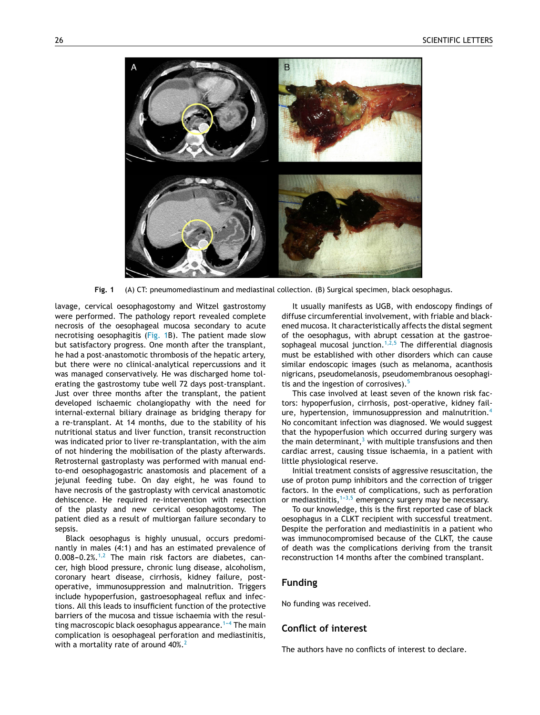<span id="page-1-0"></span>

**Fig. 1** (A) CT: pneumomediastinum and mediastinal collection. (B) Surgical specimen, black oesophagus.

lavage, cervical oesophagostomy and Witzel gastrostomy were performed. The pathology report revealed complete necrosis of the oesophageal mucosa secondary to acute necrotising oesophagitis (Fig. 1B). The patient made slow but satisfactory progress. One month after the transplant, he had a post-anastomotic thrombosis of the hepatic artery, but there were no clinical-analytical repercussions and it was managed conservatively. He was discharged home tolerating the gastrostomy tube well 72 days post-transplant. Just over three months after the transplant, the patient developed ischaemic cholangiopathy with the need for internal-external biliary drainage as bridging therapy for a re-transplant. At 14 months, due to the stability of his nutritional status and liver function, transit reconstruction was indicated prior to liver re-transplantation, with the aim of not hindering the mobilisation of the plasty afterwards. Retrosternal gastroplasty was performed with manual endto-end oesophagogastric anastomosis and placement of a jejunal feeding tube. On day eight, he was found to have necrosis of the gastroplasty with cervical anastomotic dehiscence. He required re-intervention with resection of the plasty and new cervical oesophagostomy. The patient died as a result of multiorgan failure secondary to sepsis.

Black oesophagus is highly unusual, occurs predominantly in males (4:1) and has an estimated prevalence of  $0.008-0.2\%$ .<sup>[1,2](#page-2-0)</sup> The main risk factors are diabetes, cancer, high blood pressure, chronic lung disease, alcoholism, coronary heart disease, cirrhosis, kidney failure, postoperative, immunosuppression and malnutrition. Triggers include hypoperfusion, gastroesophageal reflux and infections. All this leads to insufficient function of the protective barriers of the mucosa and tissue ischaemia with the resulting macroscopic black oesophagus appearance.<sup>1-4</sup> The main complication is oesophageal perforation and mediastinitis, with a mortality rate of around  $40\%$ .<sup>[2](#page-2-0)</sup>

It usually manifests as UGB, with endoscopy findings of diffuse circumferential involvement, with friable and blackened mucosa. It characteristically affects the distal segment of the oesophagus, with abrupt cessation at the gastroesophageal mucosal junction. $1,2,5$  The differential diagnosis must be established with other disorders which can cause similar endoscopic images (such as melanoma, acanthosis nigricans, pseudomelanosis, pseudomembranous oesophagi-tis and the ingestion of corrosives).<sup>[5](#page-2-0)</sup>

This case involved at least seven of the known risk factors: hypoperfusion, cirrhosis, post-operative, kidney fail-ure, hypertension, immunosuppression and malnutrition.<sup>[4](#page-2-0)</sup> No concomitant infection was diagnosed. We would suggest that the hypoperfusion which occurred during surgery was the main determinant, $3$  [w](#page-2-0)ith multiple transfusions and then cardiac arrest, causing tissue ischaemia, in a patient with little physiological reserve.

Initial treatment consists of aggressive resuscitation, the use of proton pump inhibitors and the correction of trigger factors. In the event of complications, such as perforation or mediastinitis,  $1-3,5$  emergency surgery may be necessary.

To our knowledge, this is the first reported case of black oesophagus in a CLKT recipient with successful treatment. Despite the perforation and mediastinitis in a patient who was immunocompromised because of the CLKT, the cause of death was the complications deriving from the transit reconstruction 14 months after the combined transplant.

#### **Funding**

No funding was received.

## **Conflict of interest**

The authors have no conflicts of interest to declare.